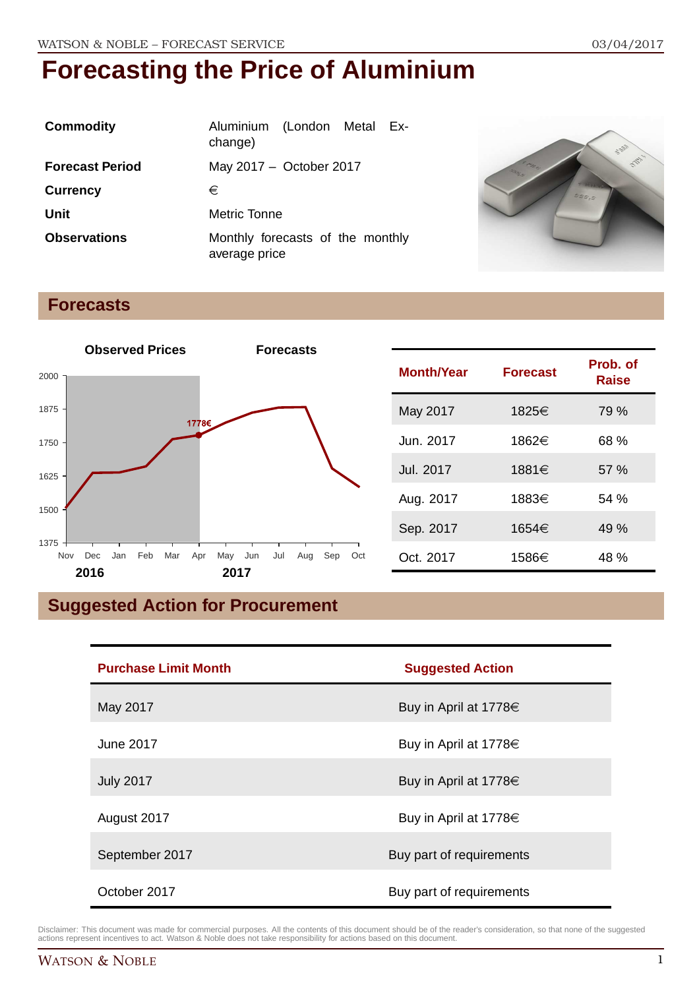| <b>Commodity</b>       | Aluminium (London Metal Ex-<br>change)            |
|------------------------|---------------------------------------------------|
| <b>Forecast Period</b> | May 2017 - October 2017                           |
| <b>Currency</b>        | €                                                 |
| Unit                   | Metric Tonne                                      |
| <b>Observations</b>    | Monthly forecasts of the monthly<br>average price |



### **Forecasts**



| <b>Month/Year</b> | <b>Forecast</b> | Prob. of<br>Raise |
|-------------------|-----------------|-------------------|
| May 2017          | 1825€           | 79 %              |
| Jun. 2017         | 1862€           | 68 %              |
| Jul. 2017         | 1881€           | 57 %              |
| Aug. 2017         | 1883€           | 54%               |
| Sep. 2017         | 1654€           | 49 %              |
| Oct. 2017         | 1586€           | 48 %              |

## **Suggested Action for Procurement**

| <b>Purchase Limit Month</b> | <b>Suggested Action</b>  |  |
|-----------------------------|--------------------------|--|
| May 2017                    | Buy in April at 1778€    |  |
| June 2017                   | Buy in April at 1778€    |  |
| <b>July 2017</b>            | Buy in April at 1778€    |  |
| August 2017                 | Buy in April at 1778€    |  |
| September 2017              | Buy part of requirements |  |
| October 2017                | Buy part of requirements |  |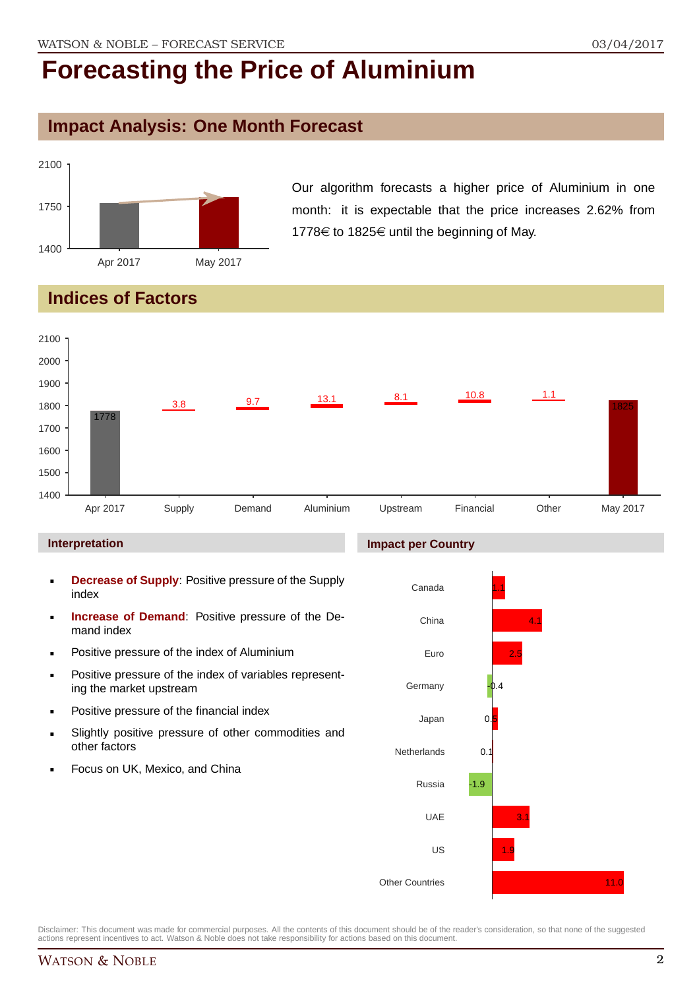#### **Impact Analysis: One Month Forecast**



Our algorithm forecasts a higher price of Aluminium in one month: it is expectable that the price increases 2.62% from 1778 $\in$  to 1825 $\in$  until the beginning of May.

### **Indices of Factors**



#### **Interpretation**

- **Decrease of Supply**: Positive pressure of the Supply index
- **Increase of Demand**: Positive pressure of the Demand index
- **Positive pressure of the index of Aluminium**
- **Positive pressure of the index of variables represent**ing the market upstream
- Positive pressure of the financial index
- Slightly positive pressure of other commodities and other factors
- Focus on UK, Mexico, and China

#### **Impact per Country**

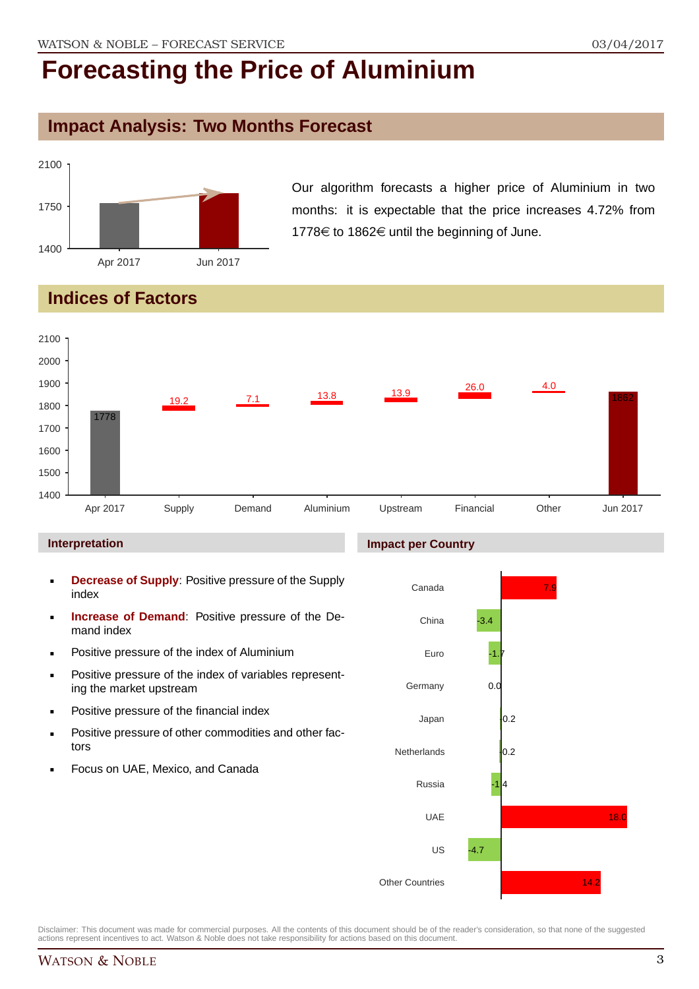#### **Impact Analysis: Two Months Forecast**



Our algorithm forecasts a higher price of Aluminium in two months: it is expectable that the price increases 4.72% from 1778 $\epsilon$  to 1862 $\epsilon$  until the beginning of June.

## **Indices of Factors**



#### **Interpretation**

- **Decrease of Supply**: Positive pressure of the Supply index
- **Increase of Demand**: Positive pressure of the Demand index
- **Positive pressure of the index of Aluminium**
- **Positive pressure of the index of variables represent**ing the market upstream
- Positive pressure of the financial index
- **Positive pressure of other commodities and other fac**tors
- Focus on UAE, Mexico, and Canada

#### **Impact per Country**

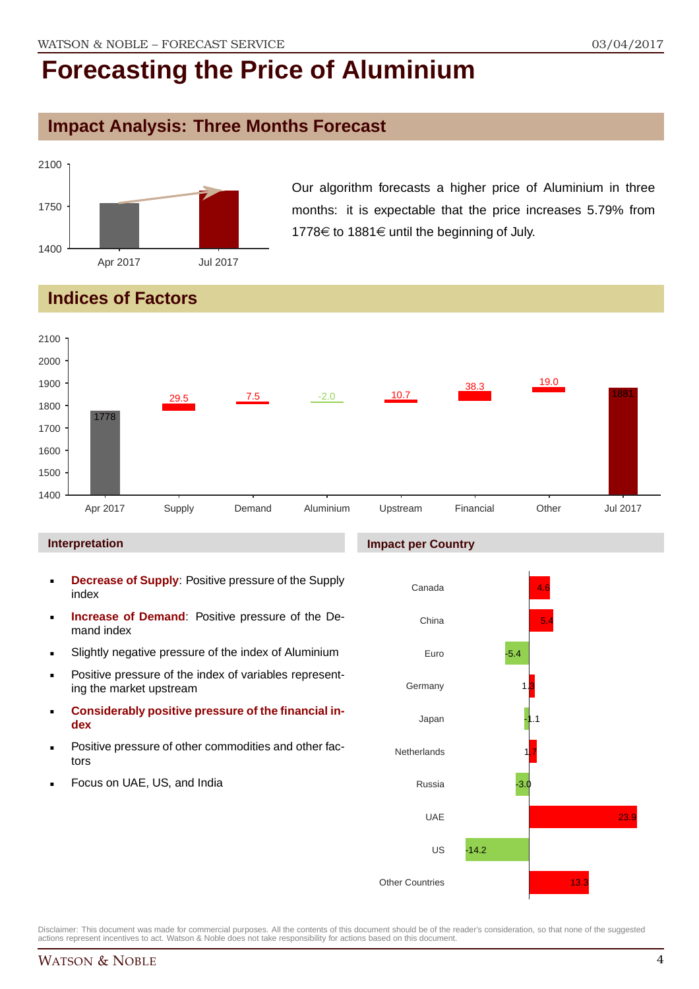### **Impact Analysis: Three Months Forecast**



Our algorithm forecasts a higher price of Aluminium in three months: it is expectable that the price increases 5.79% from 1778€ to 1881€ until the beginning of July.

## **Indices of Factors**



#### **Interpretation**

- **Decrease of Supply**: Positive pressure of the Supply index
- **Increase of Demand**: Positive pressure of the Demand index
- Slightly negative pressure of the index of Aluminium
- **Positive pressure of the index of variables represent**ing the market upstream
- **Considerably positive pressure of the financial index**
- Positive pressure of other commodities and other factors
- Focus on UAE, US, and India

#### **Impact per Country**

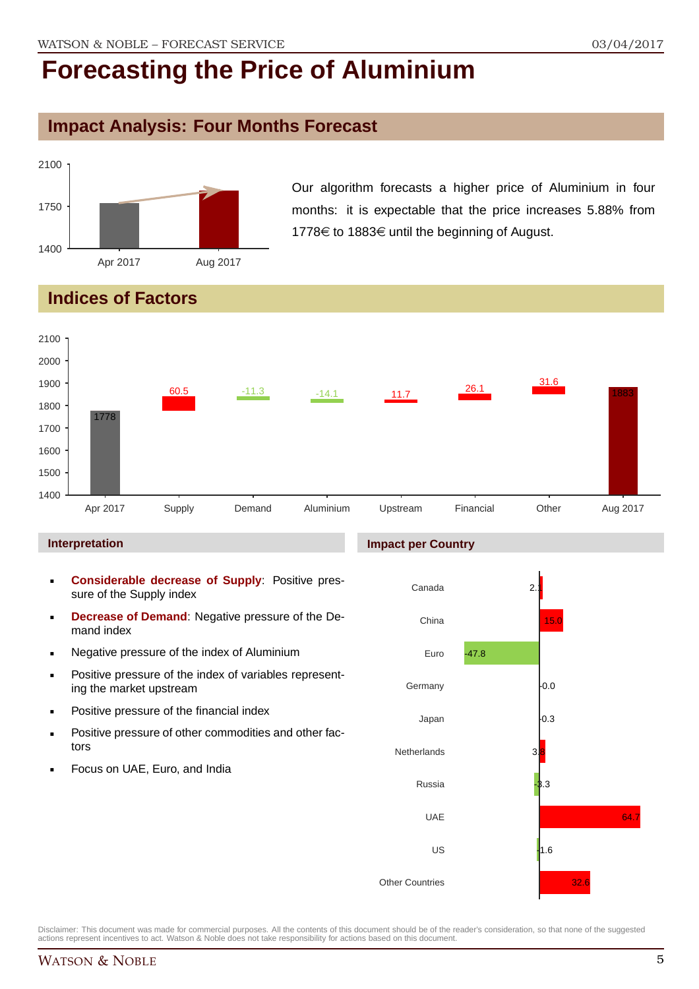### **Impact Analysis: Four Months Forecast**



Our algorithm forecasts a higher price of Aluminium in four months: it is expectable that the price increases 5.88% from 1778€ to 1883€ until the beginning of August.

### **Indices of Factors**



#### **Interpretation**

- **Considerable decrease of Supply**: Positive pressure of the Supply index
- **Decrease of Demand**: Negative pressure of the Demand index
- **Negative pressure of the index of Aluminium**
- **Positive pressure of the index of variables represent**ing the market upstream
- Positive pressure of the financial index
- **Positive pressure of other commodities and other fac**tors
- Focus on UAE, Euro, and India

#### **Impact per Country**

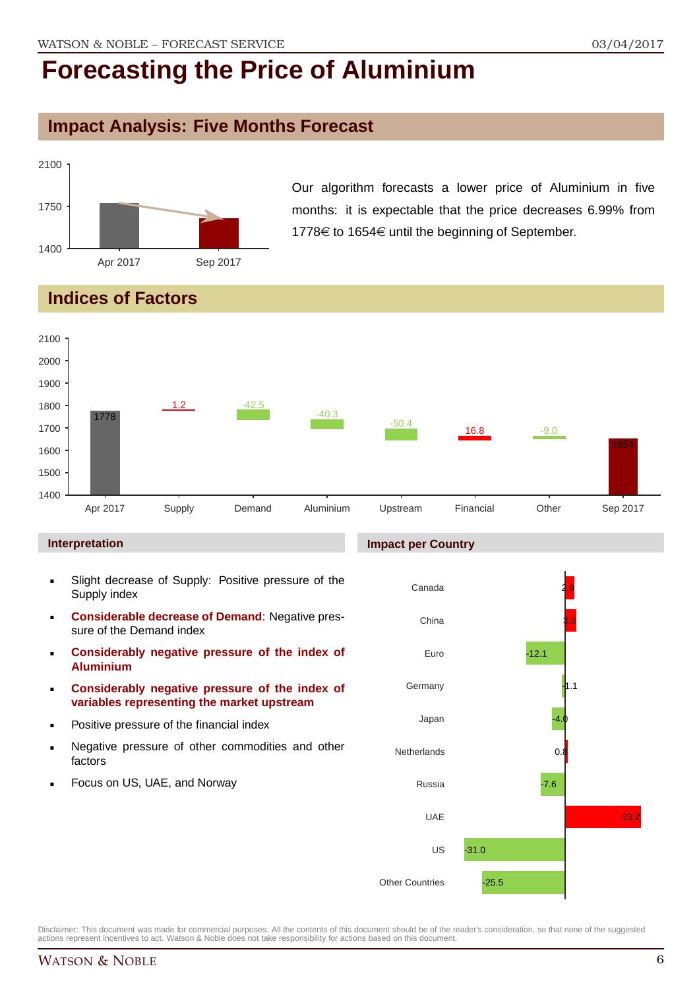#### **Impact Analysis: Five Months Forecast**



Our algorithm forecasts a lower price of Aluminium in five months: it is expectable that the price decreases 6.99% from 1778 $\epsilon$  to 1654 $\epsilon$  until the beginning of September.

### **Indices of Factors**



- Slight decrease of Supply: Positive pressure of the Supply index
- **Considerable decrease of Demand**: Negative pressure of the Demand index
- **Considerably negative pressure of the index of Aluminium**
- **Considerably negative pressure of the index of variables representing the market upstream**
- Positive pressure of the financial index
- Negative pressure of other commodities and other factors
- Focus on US, UAE, and Norway

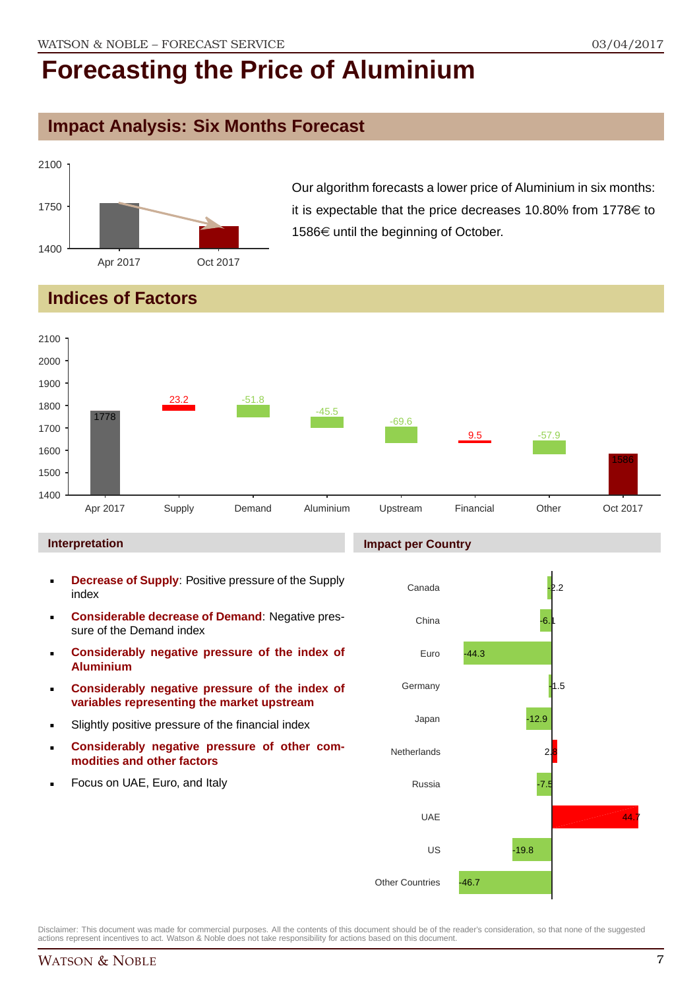### **Impact Analysis: Six Months Forecast**



Our algorithm forecasts a lower price of Aluminium in six months: it is expectable that the price decreases 10.80% from 1778 $\in$  to 1586€ until the beginning of October.

### **Indices of Factors**



#### **Interpretation**

- **Decrease of Supply**: Positive pressure of the Supply index
- **Considerable decrease of Demand**: Negative pressure of the Demand index
- **Considerably negative pressure of the index of Aluminium**
- **Considerably negative pressure of the index of variables representing the market upstream**
- Slightly positive pressure of the financial index
- **Considerably negative pressure of other commodities and other factors**
- Focus on UAE, Euro, and Italy

#### **Impact per Country**

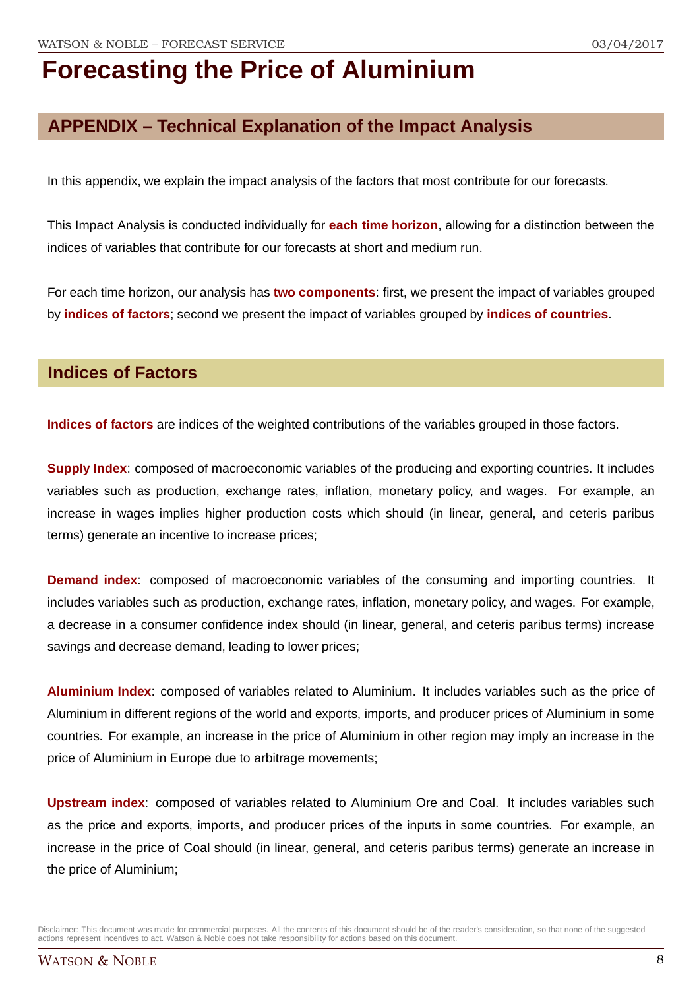### **APPENDIX – Technical Explanation of the Impact Analysis**

In this appendix, we explain the impact analysis of the factors that most contribute for our forecasts.

This Impact Analysis is conducted individually for **each time horizon**, allowing for a distinction between the indices of variables that contribute for our forecasts at short and medium run.

For each time horizon, our analysis has **two components**: first, we present the impact of variables grouped by **indices of factors**; second we present the impact of variables grouped by **indices of countries**.

#### **Indices of Factors**

**Indices of factors** are indices of the weighted contributions of the variables grouped in those factors.

**Supply Index**: composed of macroeconomic variables of the producing and exporting countries. It includes variables such as production, exchange rates, inflation, monetary policy, and wages. For example, an increase in wages implies higher production costs which should (in linear, general, and ceteris paribus terms) generate an incentive to increase prices;

**Demand index**: composed of macroeconomic variables of the consuming and importing countries. It includes variables such as production, exchange rates, inflation, monetary policy, and wages. For example, a decrease in a consumer confidence index should (in linear, general, and ceteris paribus terms) increase savings and decrease demand, leading to lower prices;

**Aluminium Index**: composed of variables related to Aluminium. It includes variables such as the price of Aluminium in different regions of the world and exports, imports, and producer prices of Aluminium in some countries. For example, an increase in the price of Aluminium in other region may imply an increase in the price of Aluminium in Europe due to arbitrage movements;

**Upstream index**: composed of variables related to Aluminium Ore and Coal. It includes variables such as the price and exports, imports, and producer prices of the inputs in some countries. For example, an increase in the price of Coal should (in linear, general, and ceteris paribus terms) generate an increase in the price of Aluminium;